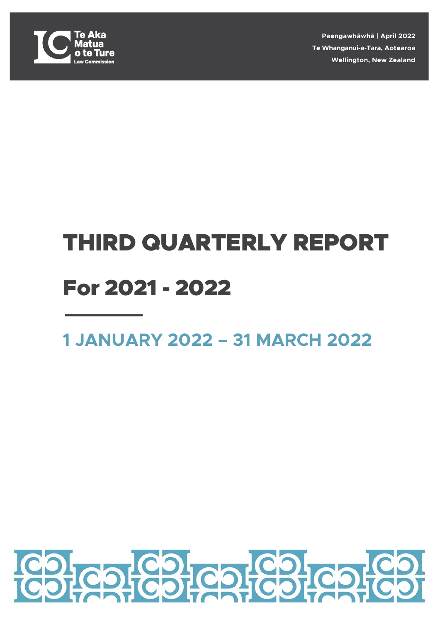

**Paengawhāwhā | April 2022 Te Whanganui-a-Tara, Aotearoa Wellington, New Zealand**

## THIRD QUARTERLY REPORT For 2021 - 2022

### **1 JANUARY 2022 – 31 MARCH 2022**

# **CO-CO-CO-**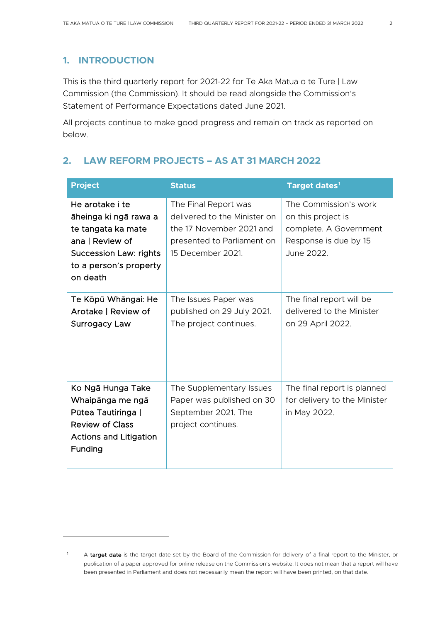#### **1. INTRODUCTION**

This is the third quarterly report for 2021-22 for Te Aka Matua o te Ture | Law Commission (the Commission). It should be read alongside the Commission's Statement of Performance Expectations dated June 2021.

All projects continue to make good progress and remain on track as reported on below.

#### **2. LAW REFORM PROJECTS – AS AT 31 MARCH 2022**

| <b>Project</b>                                                                                                                                           | <b>Status</b>                                                                                                                       | Target dates <sup>1</sup>                                                                                    |
|----------------------------------------------------------------------------------------------------------------------------------------------------------|-------------------------------------------------------------------------------------------------------------------------------------|--------------------------------------------------------------------------------------------------------------|
| He arotake i te<br>āheinga ki ngā rawa a<br>te tangata ka mate<br>ana   Review of<br><b>Succession Law: rights</b><br>to a person's property<br>on death | The Final Report was<br>delivered to the Minister on<br>the 17 November 2021 and<br>presented to Parliament on<br>15 December 2021. | The Commission's work<br>on this project is<br>complete. A Government<br>Response is due by 15<br>June 2022. |
| Te Kōpū Whāngai: He<br>Arotake   Review of<br><b>Surrogacy Law</b>                                                                                       | The Issues Paper was<br>published on 29 July 2021.<br>The project continues.                                                        | The final report will be<br>delivered to the Minister<br>on 29 April 2022.                                   |
| Ko Ngā Hunga Take<br>Whaipānga me ngā<br>Pūtea Tautiringa  <br><b>Review of Class</b><br><b>Actions and Litigation</b><br>Funding                        | The Supplementary Issues<br>Paper was published on 30<br>September 2021. The<br>project continues.                                  | The final report is planned<br>for delivery to the Minister<br>in May 2022.                                  |

<span id="page-1-0"></span><sup>&</sup>lt;sup>1</sup> A target date is the target date set by the Board of the Commission for delivery of a final report to the Minister, or publication of a paper approved for online release on the Commission's website. It does not mean that a report will have been presented in Parliament and does not necessarily mean the report will have been printed, on that date.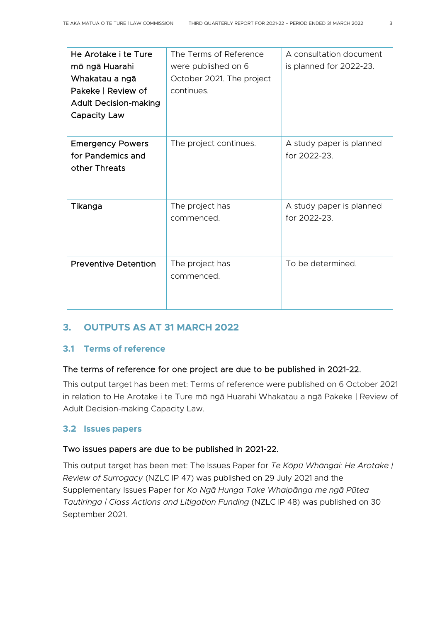| He Arotake i te Ture<br>mō ngā Huarahi<br>Whakatau a ngā<br>Pakeke   Review of<br><b>Adult Decision-making</b><br>Capacity Law | The Terms of Reference<br>were published on 6<br>October 2021. The project<br>continues. | A consultation document<br>is planned for 2022-23. |
|--------------------------------------------------------------------------------------------------------------------------------|------------------------------------------------------------------------------------------|----------------------------------------------------|
| <b>Emergency Powers</b><br>for Pandemics and<br>other Threats                                                                  | The project continues.                                                                   | A study paper is planned<br>for 2022-23.           |
| Tikanga                                                                                                                        | The project has<br>commenced.                                                            | A study paper is planned<br>for 2022-23.           |
| <b>Preventive Detention</b>                                                                                                    | The project has<br>commenced.                                                            | To be determined.                                  |

#### **3. OUTPUTS AS AT 31 MARCH 2022**

#### **3.1 Terms of reference**

#### The terms of reference for one project are due to be published in 2021-22.

This output target has been met: Terms of reference were published on 6 October 2021 in relation to He Arotake i te Ture mō ngā Huarahi Whakatau a ngā Pakeke | Review of Adult Decision-making Capacity Law.

#### **3.2 Issues papers**

#### Two issues papers are due to be published in 2021-22.

This output target has been met: The Issues Paper for *Te Kōpū Whāngai: He Arotake | Review of Surrogacy* (NZLC IP 47) was published on 29 July 2021 and the Supplementary Issues Paper for *Ko Ngā Hunga Take Whaipānga me ngā Pūtea Tautiringa | Class Actions and Litigation Funding* (NZLC IP 48) was published on 30 September 2021.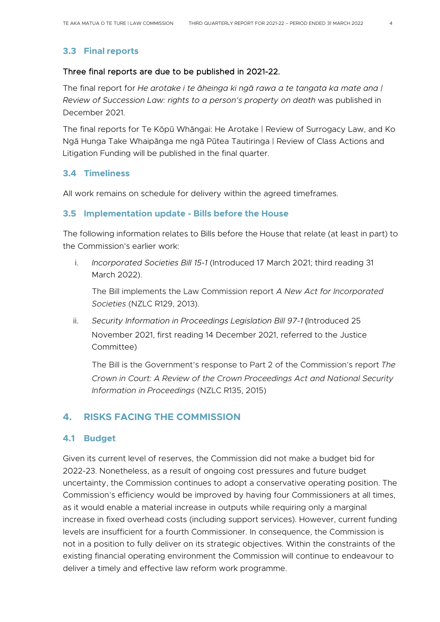#### **3.3 Final reports**

#### Three final reports are due to be published in 2021-22.

The final report for *He arotake i te āheinga ki ngā rawa a te tangata ka mate ana | Review of Succession Law: rights to a person's property on death* was published in December 2021.

The final reports for Te Kōpū Whāngai: He Arotake | Review of Surrogacy Law, and Ko Ngā Hunga Take Whaipānga me ngā Pūtea Tautiringa | Review of Class Actions and Litigation Funding will be published in the final quarter.

#### **3.4 Timeliness**

All work remains on schedule for delivery within the agreed timeframes.

#### **3.5 Implementation update - Bills before the House**

The following information relates to Bills before the House that relate (at least in part) to the Commission's earlier work:

i. *Incorporated Societies Bill 15-1* (Introduced 17 March 2021; third reading 31 March 2022).

The Bill implements the Law Commission report *A New Act for Incorporated Societies* (NZLC R129, 2013).

ii. *Security Information in Proceedings Legislation Bill 97-1* (Introduced 25 November 2021, first reading 14 December 2021, referred to the Justice Committee)

The Bill is the Government's response to Part 2 of the Commission's report *The Crown in Court: A Review of the Crown Proceedings Act and National Security Information in Proceedings* (NZLC R135, 2015)

#### **4. RISKS FACING THE COMMISSION**

#### **4.1 Budget**

Given its current level of reserves, the Commission did not make a budget bid for 2022-23. Nonetheless, as a result of ongoing cost pressures and future budget uncertainty, the Commission continues to adopt a conservative operating position. The Commission's efficiency would be improved by having four Commissioners at all times, as it would enable a material increase in outputs while requiring only a marginal increase in fixed overhead costs (including support services). However, current funding levels are insufficient for a fourth Commissioner. In consequence, the Commission is not in a position to fully deliver on its strategic objectives. Within the constraints of the existing financial operating environment the Commission will continue to endeavour to deliver a timely and effective law reform work programme.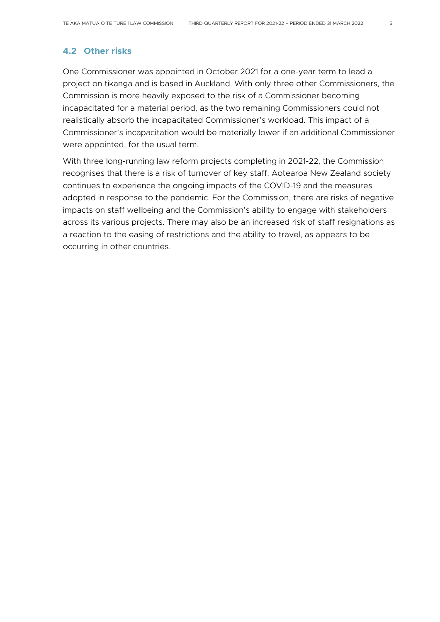#### **4.2 Other risks**

One Commissioner was appointed in October 2021 for a one-year term to lead a project on tikanga and is based in Auckland. With only three other Commissioners, the Commission is more heavily exposed to the risk of a Commissioner becoming incapacitated for a material period, as the two remaining Commissioners could not realistically absorb the incapacitated Commissioner's workload. This impact of a Commissioner's incapacitation would be materially lower if an additional Commissioner were appointed, for the usual term.

With three long-running law reform projects completing in 2021-22, the Commission recognises that there is a risk of turnover of key staff. Aotearoa New Zealand society continues to experience the ongoing impacts of the COVID-19 and the measures adopted in response to the pandemic. For the Commission, there are risks of negative impacts on staff wellbeing and the Commission's ability to engage with stakeholders across its various projects. There may also be an increased risk of staff resignations as a reaction to the easing of restrictions and the ability to travel, as appears to be occurring in other countries.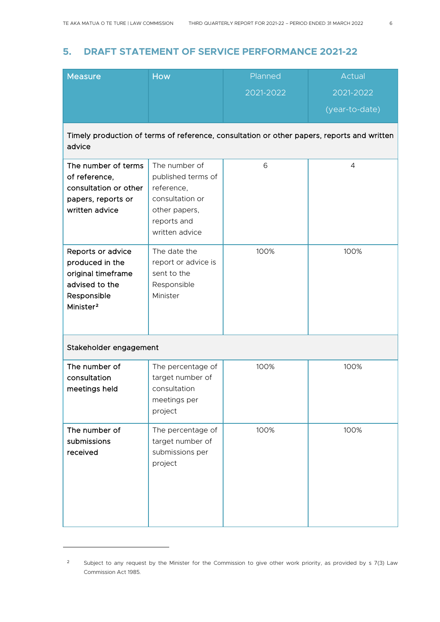#### **5. DRAFT STATEMENT OF SERVICE PERFORMANCE 2021-22**

| <b>Measure</b>                                                                                                       | <b>How</b>                                                                                                             | Planned   | Actual                                                                                     |
|----------------------------------------------------------------------------------------------------------------------|------------------------------------------------------------------------------------------------------------------------|-----------|--------------------------------------------------------------------------------------------|
|                                                                                                                      |                                                                                                                        | 2021-2022 | 2021-2022                                                                                  |
|                                                                                                                      |                                                                                                                        |           | (year-to-date)                                                                             |
| advice                                                                                                               |                                                                                                                        |           | Timely production of terms of reference, consultation or other papers, reports and written |
| The number of terms<br>of reference,<br>consultation or other<br>papers, reports or<br>written advice                | The number of<br>published terms of<br>reference,<br>consultation or<br>other papers,<br>reports and<br>written advice | 6         | $\overline{4}$                                                                             |
| Reports or advice<br>produced in the<br>original timeframe<br>advised to the<br>Responsible<br>Minister <sup>2</sup> | The date the<br>report or advice is<br>sent to the<br>Responsible<br>Minister                                          | 100%      | 100%                                                                                       |
| Stakeholder engagement                                                                                               |                                                                                                                        |           |                                                                                            |
| The number of<br>consultation<br>meetings held                                                                       | The percentage of<br>target number of<br>consultation<br>meetings per<br>project                                       | 100%      | 100%                                                                                       |
| The number of<br>submissions<br>received                                                                             | The percentage of<br>target number of<br>submissions per<br>project                                                    | 100%      | 100%                                                                                       |

<span id="page-5-0"></span><sup>&</sup>lt;sup>2</sup> Subject to any request by the Minister for the Commission to give other work priority, as provided by s 7(3) Law Commission Act 1985.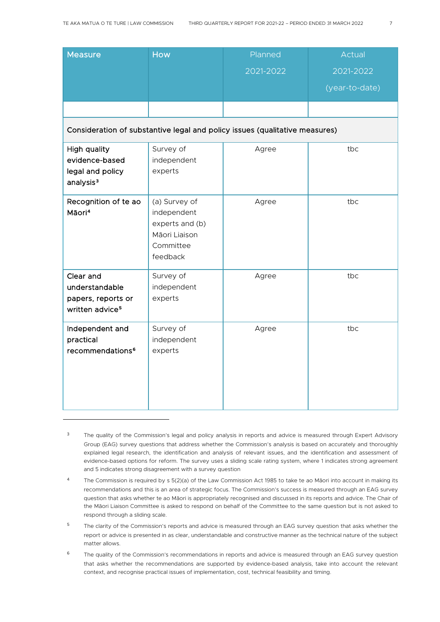| <b>Measure</b>                                                                   | <b>How</b>                                                                                | Planned                                                                     | Actual         |
|----------------------------------------------------------------------------------|-------------------------------------------------------------------------------------------|-----------------------------------------------------------------------------|----------------|
|                                                                                  |                                                                                           | 2021-2022                                                                   | 2021-2022      |
|                                                                                  |                                                                                           |                                                                             | (year-to-date) |
|                                                                                  |                                                                                           |                                                                             |                |
|                                                                                  |                                                                                           | Consideration of substantive legal and policy issues (qualitative measures) |                |
| High quality<br>evidence-based<br>legal and policy<br>analysis <sup>3</sup>      | Survey of<br>independent<br>experts                                                       | Agree                                                                       | tbc            |
| Recognition of te ao<br>Māori <sup>4</sup>                                       | (a) Survey of<br>independent<br>experts and (b)<br>Māori Liaison<br>Committee<br>feedback | Agree                                                                       | tbc            |
| Clear and<br>understandable<br>papers, reports or<br>written advice <sup>5</sup> | Survey of<br>independent<br>experts                                                       | Agree                                                                       | tbc            |
| Independent and<br>practical<br>recommendations <sup>6</sup>                     | Survey of<br>independent<br>experts                                                       | Agree                                                                       | tbc            |

<span id="page-6-0"></span><sup>&</sup>lt;sup>3</sup> The quality of the Commission's legal and policy analysis in reports and advice is measured through Expert Advisory Group (EAG) survey questions that address whether the Commission's analysis is based on accurately and thoroughly explained legal research, the identification and analysis of relevant issues, and the identification and assessment of evidence-based options for reform. The survey uses a sliding scale rating system, where 1 indicates strong agreement and 5 indicates strong disagreement with a survey question

<span id="page-6-1"></span><sup>&</sup>lt;sup>4</sup> The Commission is required by s 5(2)(a) of the Law Commission Act 1985 to take te ao Māori into account in making its recommendations and this is an area of strategic focus. The Commission's success is measured through an EAG survey question that asks whether te ao Māori is appropriately recognised and discussed in its reports and advice. The Chair of the Māori Liaison Committee is asked to respond on behalf of the Committee to the same question but is not asked to respond through a sliding scale.

<span id="page-6-2"></span><sup>&</sup>lt;sup>5</sup> The clarity of the Commission's reports and advice is measured through an EAG survey question that asks whether the report or advice is presented in as clear, understandable and constructive manner as the technical nature of the subject matter allows.

<span id="page-6-3"></span><sup>&</sup>lt;sup>6</sup> The quality of the Commission's recommendations in reports and advice is measured through an EAG survey question that asks whether the recommendations are supported by evidence-based analysis, take into account the relevant context, and recognise practical issues of implementation, cost, technical feasibility and timing.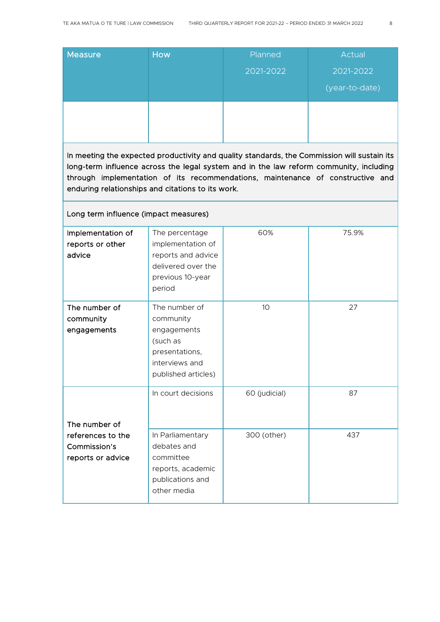| <b>Measure</b> | How | Planned   | Actual         |
|----------------|-----|-----------|----------------|
|                |     | 2021-2022 | 2021-2022      |
|                |     |           | (year-to-date) |
|                |     |           |                |
|                |     |           |                |

In meeting the expected productivity and quality standards, the Commission will sustain its long-term influence across the legal system and in the law reform community, including through implementation of its recommendations, maintenance of constructive and enduring relationships and citations to its work.

#### Long term influence (impact measures)

| Implementation of<br>reports or other<br>advice        | The percentage<br>implementation of<br>reports and advice<br>delivered over the<br>previous 10-year<br>period    | 60%             | 75.9% |
|--------------------------------------------------------|------------------------------------------------------------------------------------------------------------------|-----------------|-------|
| The number of<br>community<br>engagements              | The number of<br>community<br>engagements<br>(such as<br>presentations,<br>interviews and<br>published articles) | 10 <sup>°</sup> | 27    |
| The number of                                          | In court decisions                                                                                               | 60 (judicial)   | 87    |
| references to the<br>Commission's<br>reports or advice | In Parliamentary<br>debates and<br>committee<br>reports, academic<br>publications and<br>other media             | 300 (other)     | 437   |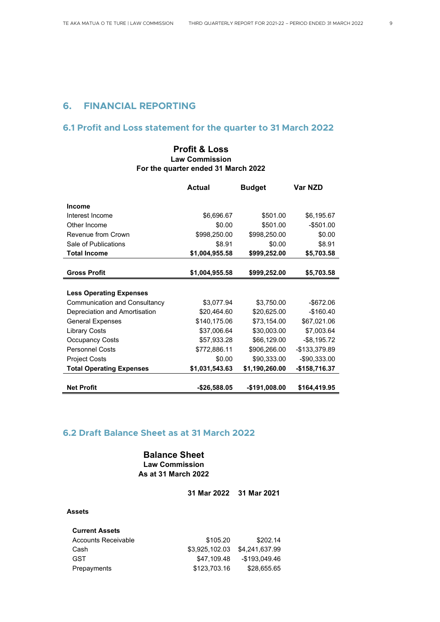#### **6. FINANCIAL REPORTING**

#### **6.1 Profit and Loss statement for the quarter to 31 March 2022**

#### **Profit & Loss Law Commission For the quarter ended 31 March 2022**

|                                 | <b>Actual</b>  | <b>Budget</b>  | Var NZD        |
|---------------------------------|----------------|----------------|----------------|
|                                 |                |                |                |
| <b>Income</b>                   |                |                |                |
| Interest Income                 | \$6,696.67     | \$501.00       | \$6,195.67     |
| Other Income                    | \$0.00         | \$501.00       | $-$ \$501.00   |
| Revenue from Crown              | \$998,250.00   | \$998,250.00   | \$0.00         |
| Sale of Publications            | \$8.91         | \$0.00         | \$8.91         |
| <b>Total Income</b>             | \$1,004,955.58 | \$999,252.00   | \$5,703.58     |
|                                 |                |                |                |
| <b>Gross Profit</b>             | \$1,004,955.58 | \$999,252.00   | \$5,703.58     |
|                                 |                |                |                |
| <b>Less Operating Expenses</b>  |                |                |                |
| Communication and Consultancy   | \$3,077.94     | \$3,750.00     | $-$ \$672.06   |
| Depreciation and Amortisation   | \$20,464.60    | \$20,625.00    | $-$160.40$     |
| <b>General Expenses</b>         | \$140,175.06   | \$73,154.00    | \$67,021.06    |
| <b>Library Costs</b>            | \$37,006.64    | \$30,003.00    | \$7,003.64     |
| <b>Occupancy Costs</b>          | \$57,933.28    | \$66,129.00    | $-$ \$8,195.72 |
| <b>Personnel Costs</b>          | \$772,886.11   | \$906,266.00   | -\$133,379.89  |
| <b>Project Costs</b>            | \$0.00         | \$90,333.00    | -\$90,333.00   |
| <b>Total Operating Expenses</b> | \$1,031,543.63 | \$1,190,260.00 | -\$158,716.37  |
|                                 |                |                |                |
| <b>Net Profit</b>               | -\$26,588.05   | -\$191,008.00  | \$164,419.95   |

#### **6.2 Draft Balance Sheet as at 31 March 2022**

**Balance Sheet Law Commission As at 31 March 2022**

**31 Mar 2022 31 Mar 2021**

#### **Assets**

| <b>Current Assets</b> |                |                |
|-----------------------|----------------|----------------|
| Accounts Receivable   | \$105.20       | \$202.14       |
| Cash                  | \$3.925.102.03 | \$4.241.637.99 |
| <b>GST</b>            | \$47.109.48    | -\$193.049.46  |
| Prepayments           | \$123,703.16   | \$28.655.65    |